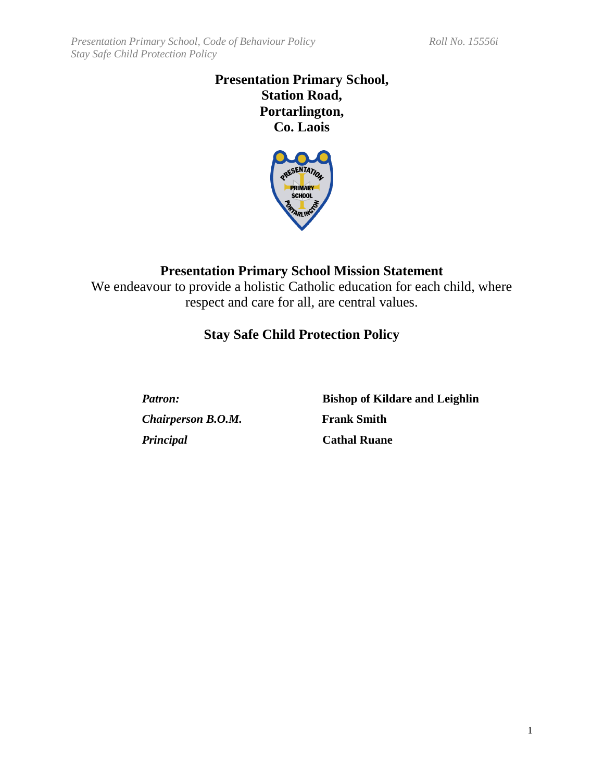# **Presentation Primary School, Station Road, Portarlington, Co. Laois**



# **Presentation Primary School Mission Statement**

We endeavour to provide a holistic Catholic education for each child, where respect and care for all, are central values.

# **Stay Safe Child Protection Policy**

*Chairperson B.O.M.* **Frank Smith** *Principal* **Cathal Ruane**

*Patron:* **Bishop of Kildare and Leighlin**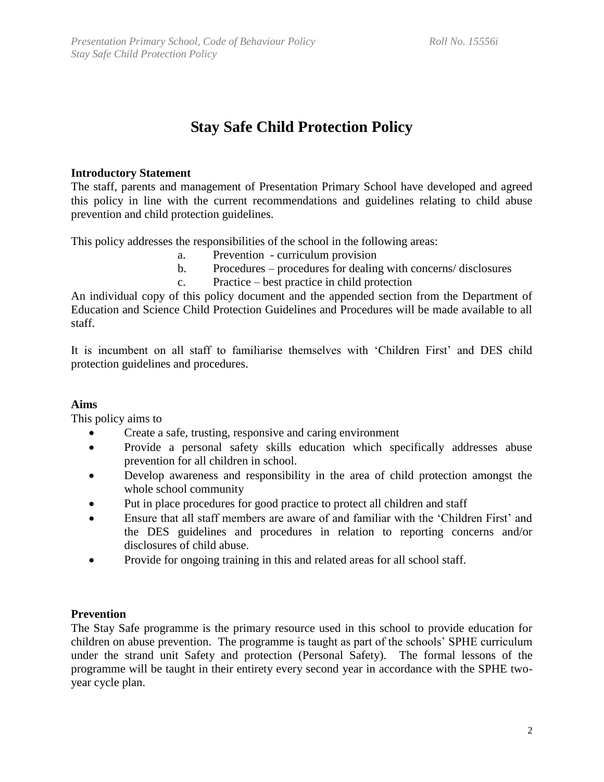# **Stay Safe Child Protection Policy**

## **Introductory Statement**

The staff, parents and management of Presentation Primary School have developed and agreed this policy in line with the current recommendations and guidelines relating to child abuse prevention and child protection guidelines.

This policy addresses the responsibilities of the school in the following areas:

- a. Prevention curriculum provision
- b. Procedures procedures for dealing with concerns/ disclosures
- c. Practice best practice in child protection

An individual copy of this policy document and the appended section from the Department of Education and Science Child Protection Guidelines and Procedures will be made available to all staff.

It is incumbent on all staff to familiarise themselves with 'Children First' and DES child protection guidelines and procedures.

# **Aims**

This policy aims to

- Create a safe, trusting, responsive and caring environment
- Provide a personal safety skills education which specifically addresses abuse prevention for all children in school.
- Develop awareness and responsibility in the area of child protection amongst the whole school community
- Put in place procedures for good practice to protect all children and staff
- Ensure that all staff members are aware of and familiar with the 'Children First' and the DES guidelines and procedures in relation to reporting concerns and/or disclosures of child abuse.
- Provide for ongoing training in this and related areas for all school staff.

# **Prevention**

The Stay Safe programme is the primary resource used in this school to provide education for children on abuse prevention. The programme is taught as part of the schools' SPHE curriculum under the strand unit Safety and protection (Personal Safety). The formal lessons of the programme will be taught in their entirety every second year in accordance with the SPHE twoyear cycle plan.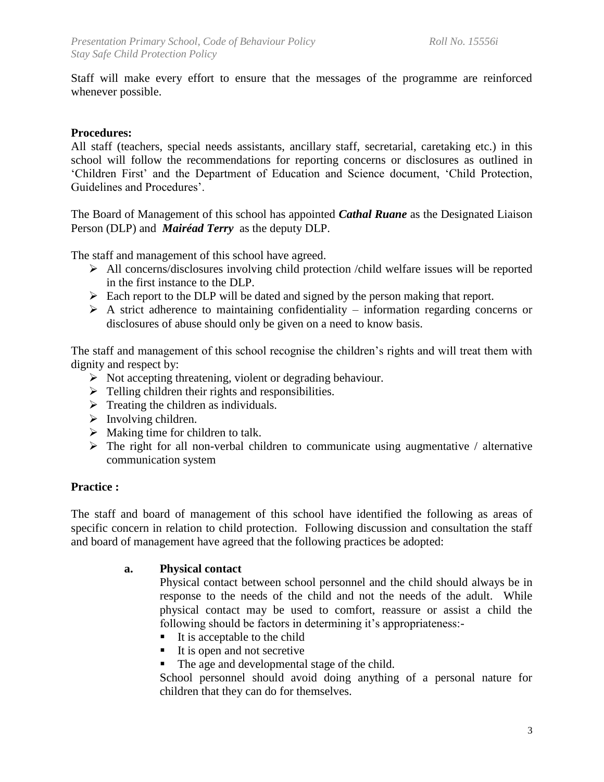Staff will make every effort to ensure that the messages of the programme are reinforced whenever possible.

#### **Procedures:**

All staff (teachers, special needs assistants, ancillary staff, secretarial, caretaking etc.) in this school will follow the recommendations for reporting concerns or disclosures as outlined in 'Children First' and the Department of Education and Science document, 'Child Protection, Guidelines and Procedures'.

The Board of Management of this school has appointed *Cathal Ruane* as the Designated Liaison Person (DLP) and *Mairéad Terry* as the deputy DLP.

The staff and management of this school have agreed.

- ➢ All concerns/disclosures involving child protection /child welfare issues will be reported in the first instance to the DLP.
- ➢ Each report to the DLP will be dated and signed by the person making that report.
- $\triangleright$  A strict adherence to maintaining confidentiality information regarding concerns or disclosures of abuse should only be given on a need to know basis.

The staff and management of this school recognise the children's rights and will treat them with dignity and respect by:

- ➢ Not accepting threatening, violent or degrading behaviour.
- $\triangleright$  Telling children their rights and responsibilities.
- $\triangleright$  Treating the children as individuals.
- ➢ Involving children.
- $\triangleright$  Making time for children to talk.
- $\triangleright$  The right for all non-verbal children to communicate using augmentative / alternative communication system

#### **Practice :**

The staff and board of management of this school have identified the following as areas of specific concern in relation to child protection. Following discussion and consultation the staff and board of management have agreed that the following practices be adopted:

#### **a. Physical contact**

Physical contact between school personnel and the child should always be in response to the needs of the child and not the needs of the adult. While physical contact may be used to comfort, reassure or assist a child the following should be factors in determining it's appropriateness:-

- $\blacksquare$  It is acceptable to the child
- $\blacksquare$  It is open and not secretive
- The age and developmental stage of the child.

School personnel should avoid doing anything of a personal nature for children that they can do for themselves.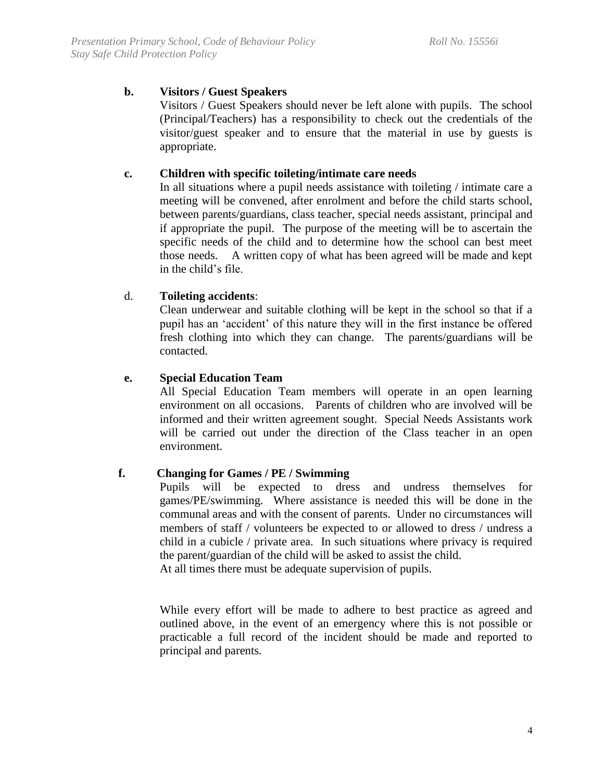# **b. Visitors / Guest Speakers**

Visitors / Guest Speakers should never be left alone with pupils. The school (Principal/Teachers) has a responsibility to check out the credentials of the visitor/guest speaker and to ensure that the material in use by guests is appropriate.

## **c. Children with specific toileting/intimate care needs**

In all situations where a pupil needs assistance with toileting / intimate care a meeting will be convened, after enrolment and before the child starts school, between parents/guardians, class teacher, special needs assistant, principal and if appropriate the pupil. The purpose of the meeting will be to ascertain the specific needs of the child and to determine how the school can best meet those needs. A written copy of what has been agreed will be made and kept in the child's file.

## d. **Toileting accidents**:

Clean underwear and suitable clothing will be kept in the school so that if a pupil has an 'accident' of this nature they will in the first instance be offered fresh clothing into which they can change. The parents/guardians will be contacted.

#### **e. Special Education Team**

All Special Education Team members will operate in an open learning environment on all occasions. Parents of children who are involved will be informed and their written agreement sought. Special Needs Assistants work will be carried out under the direction of the Class teacher in an open environment.

#### **f. Changing for Games / PE / Swimming**

Pupils will be expected to dress and undress themselves for games/PE/swimming. Where assistance is needed this will be done in the communal areas and with the consent of parents. Under no circumstances will members of staff / volunteers be expected to or allowed to dress / undress a child in a cubicle / private area. In such situations where privacy is required the parent/guardian of the child will be asked to assist the child.

At all times there must be adequate supervision of pupils.

While every effort will be made to adhere to best practice as agreed and outlined above, in the event of an emergency where this is not possible or practicable a full record of the incident should be made and reported to principal and parents.